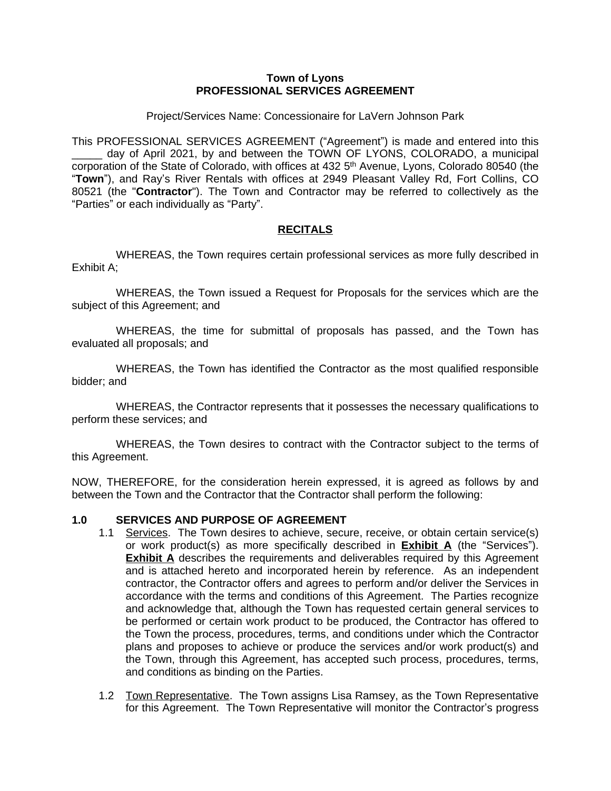#### **Town of Lyons PROFESSIONAL SERVICES AGREEMENT**

Project/Services Name: Concessionaire for LaVern Johnson Park

This PROFESSIONAL SERVICES AGREEMENT ("Agreement") is made and entered into this day of April 2021, by and between the TOWN OF LYONS, COLORADO, a municipal corporation of the State of Colorado, with offices at 432 5<sup>th</sup> Avenue, Lyons, Colorado 80540 (the "**Town**"), and Ray's River Rentals with offices at 2949 Pleasant Valley Rd, Fort Collins, CO 80521 (the "**Contractor**"). The Town and Contractor may be referred to collectively as the "Parties" or each individually as "Party".

## **RECITALS**

WHEREAS, the Town requires certain professional services as more fully described in Exhibit A;

WHEREAS, the Town issued a Request for Proposals for the services which are the subject of this Agreement; and

WHEREAS, the time for submittal of proposals has passed, and the Town has evaluated all proposals; and

WHEREAS, the Town has identified the Contractor as the most qualified responsible bidder; and

WHEREAS, the Contractor represents that it possesses the necessary qualifications to perform these services; and

WHEREAS, the Town desires to contract with the Contractor subject to the terms of this Agreement.

NOW, THEREFORE, for the consideration herein expressed, it is agreed as follows by and between the Town and the Contractor that the Contractor shall perform the following:

## **1.0 SERVICES AND PURPOSE OF AGREEMENT**

- 1.1 Services. The Town desires to achieve, secure, receive, or obtain certain service(s) or work product(s) as more specifically described in **Exhibit A** (the "Services"). **Exhibit A** describes the requirements and deliverables required by this Agreement and is attached hereto and incorporated herein by reference. As an independent contractor, the Contractor offers and agrees to perform and/or deliver the Services in accordance with the terms and conditions of this Agreement. The Parties recognize and acknowledge that, although the Town has requested certain general services to be performed or certain work product to be produced, the Contractor has offered to the Town the process, procedures, terms, and conditions under which the Contractor plans and proposes to achieve or produce the services and/or work product(s) and the Town, through this Agreement, has accepted such process, procedures, terms, and conditions as binding on the Parties.
- 1.2 Town Representative. The Town assigns Lisa Ramsey, as the Town Representative for this Agreement. The Town Representative will monitor the Contractor's progress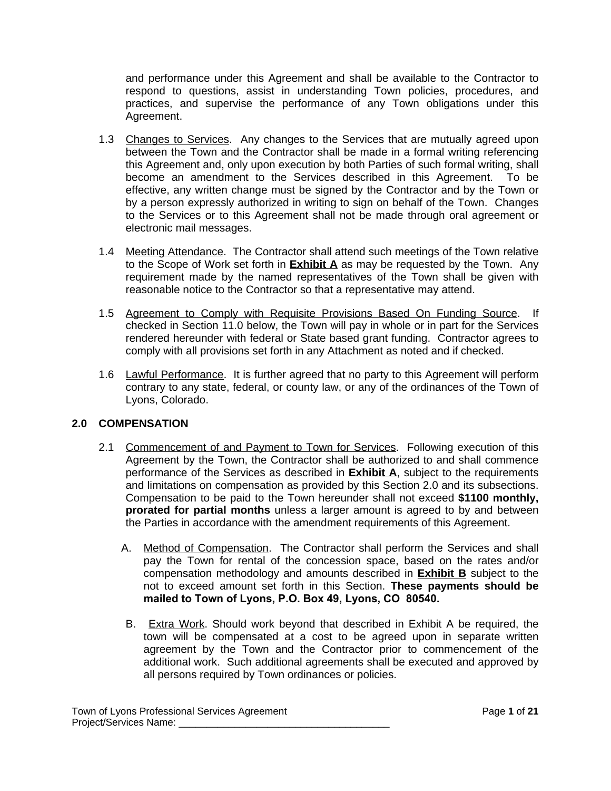and performance under this Agreement and shall be available to the Contractor to respond to questions, assist in understanding Town policies, procedures, and practices, and supervise the performance of any Town obligations under this Agreement.

- 1.3 Changes to Services. Any changes to the Services that are mutually agreed upon between the Town and the Contractor shall be made in a formal writing referencing this Agreement and, only upon execution by both Parties of such formal writing, shall become an amendment to the Services described in this Agreement. To be effective, any written change must be signed by the Contractor and by the Town or by a person expressly authorized in writing to sign on behalf of the Town. Changes to the Services or to this Agreement shall not be made through oral agreement or electronic mail messages.
- 1.4 Meeting Attendance. The Contractor shall attend such meetings of the Town relative to the Scope of Work set forth in **Exhibit A** as may be requested by the Town. Any requirement made by the named representatives of the Town shall be given with reasonable notice to the Contractor so that a representative may attend.
- 1.5 Agreement to Comply with Requisite Provisions Based On Funding Source. If checked in Section 11.0 below, the Town will pay in whole or in part for the Services rendered hereunder with federal or State based grant funding. Contractor agrees to comply with all provisions set forth in any Attachment as noted and if checked.
- 1.6 Lawful Performance. It is further agreed that no party to this Agreement will perform contrary to any state, federal, or county law, or any of the ordinances of the Town of Lyons, Colorado.

# **2.0 COMPENSATION**

- 2.1 Commencement of and Payment to Town for Services. Following execution of this Agreement by the Town, the Contractor shall be authorized to and shall commence performance of the Services as described in **Exhibit A**, subject to the requirements and limitations on compensation as provided by this Section 2.0 and its subsections. Compensation to be paid to the Town hereunder shall not exceed **\$1100 monthly, prorated for partial months** unless a larger amount is agreed to by and between the Parties in accordance with the amendment requirements of this Agreement.
	- A. Method of Compensation. The Contractor shall perform the Services and shall pay the Town for rental of the concession space, based on the rates and/or compensation methodology and amounts described in **Exhibit B** subject to the not to exceed amount set forth in this Section. **These payments should be mailed to Town of Lyons, P.O. Box 49, Lyons, CO 80540.**
	- B. Extra Work. Should work beyond that described in Exhibit A be required, the town will be compensated at a cost to be agreed upon in separate written agreement by the Town and the Contractor prior to commencement of the additional work. Such additional agreements shall be executed and approved by all persons required by Town ordinances or policies.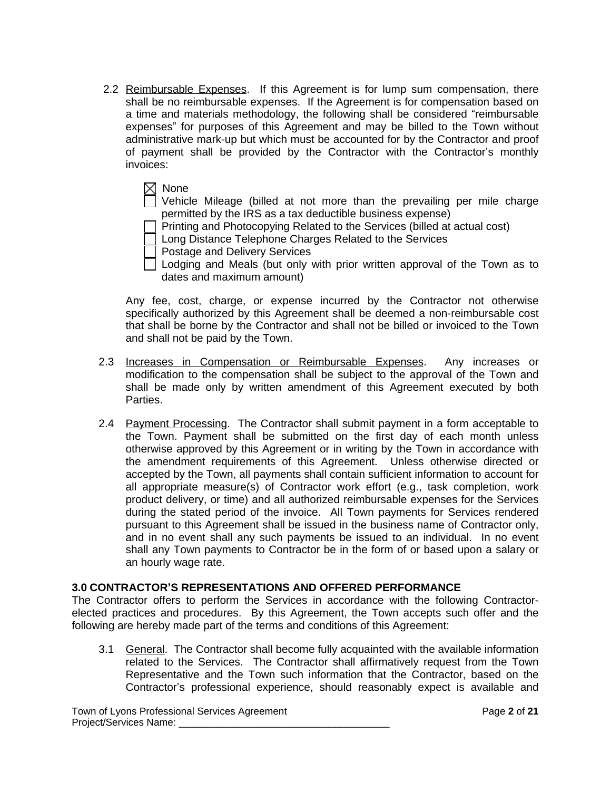2.2 Reimbursable Expenses. If this Agreement is for lump sum compensation, there shall be no reimbursable expenses. If the Agreement is for compensation based on a time and materials methodology, the following shall be considered "reimbursable expenses" for purposes of this Agreement and may be billed to the Town without administrative mark-up but which must be accounted for by the Contractor and proof of payment shall be provided by the Contractor with the Contractor's monthly invoices:

 $\boxtimes$  None Vehicle Mileage (billed at not more than the prevailing per mile charge permitted by the IRS as a tax deductible business expense)

Printing and Photocopying Related to the Services (billed at actual cost)

Long Distance Telephone Charges Related to the Services

Postage and Delivery Services

Lodging and Meals (but only with prior written approval of the Town as to dates and maximum amount)

Any fee, cost, charge, or expense incurred by the Contractor not otherwise specifically authorized by this Agreement shall be deemed a non-reimbursable cost that shall be borne by the Contractor and shall not be billed or invoiced to the Town and shall not be paid by the Town.

- 2.3 Increases in Compensation or Reimbursable Expenses. Any increases or modification to the compensation shall be subject to the approval of the Town and shall be made only by written amendment of this Agreement executed by both Parties.
- 2.4 Payment Processing. The Contractor shall submit payment in a form acceptable to the Town. Payment shall be submitted on the first day of each month unless otherwise approved by this Agreement or in writing by the Town in accordance with the amendment requirements of this Agreement. Unless otherwise directed or accepted by the Town, all payments shall contain sufficient information to account for all appropriate measure(s) of Contractor work effort (e.g., task completion, work product delivery, or time) and all authorized reimbursable expenses for the Services during the stated period of the invoice. All Town payments for Services rendered pursuant to this Agreement shall be issued in the business name of Contractor only, and in no event shall any such payments be issued to an individual. In no event shall any Town payments to Contractor be in the form of or based upon a salary or an hourly wage rate.

## **3.0 CONTRACTOR'S REPRESENTATIONS AND OFFERED PERFORMANCE**

The Contractor offers to perform the Services in accordance with the following Contractorelected practices and procedures. By this Agreement, the Town accepts such offer and the following are hereby made part of the terms and conditions of this Agreement:

3.1 General. The Contractor shall become fully acquainted with the available information related to the Services. The Contractor shall affirmatively request from the Town Representative and the Town such information that the Contractor, based on the Contractor's professional experience, should reasonably expect is available and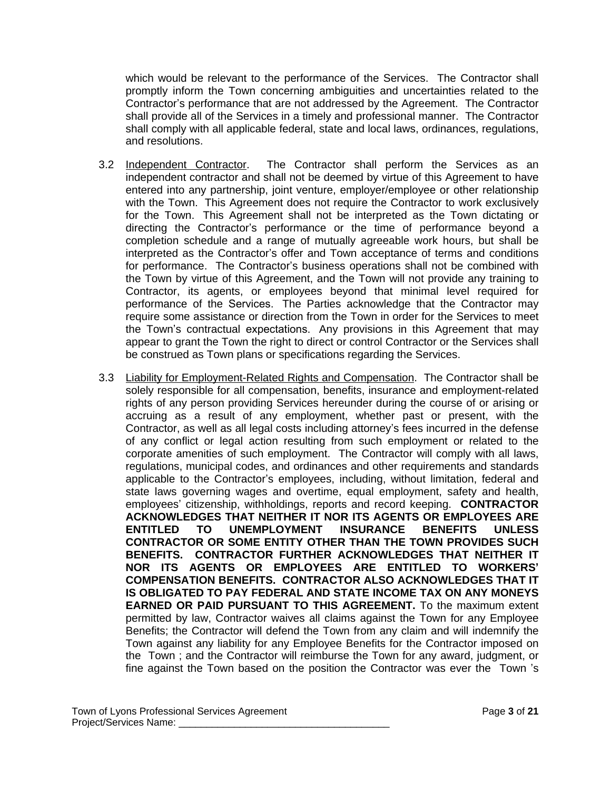which would be relevant to the performance of the Services. The Contractor shall promptly inform the Town concerning ambiguities and uncertainties related to the Contractor's performance that are not addressed by the Agreement. The Contractor shall provide all of the Services in a timely and professional manner. The Contractor shall comply with all applicable federal, state and local laws, ordinances, regulations, and resolutions.

- 3.2 Independent Contractor. The Contractor shall perform the Services as an independent contractor and shall not be deemed by virtue of this Agreement to have entered into any partnership, joint venture, employer/employee or other relationship with the Town. This Agreement does not require the Contractor to work exclusively for the Town. This Agreement shall not be interpreted as the Town dictating or directing the Contractor's performance or the time of performance beyond a completion schedule and a range of mutually agreeable work hours, but shall be interpreted as the Contractor's offer and Town acceptance of terms and conditions for performance. The Contractor's business operations shall not be combined with the Town by virtue of this Agreement, and the Town will not provide any training to Contractor, its agents, or employees beyond that minimal level required for performance of the Services. The Parties acknowledge that the Contractor may require some assistance or direction from the Town in order for the Services to meet the Town's contractual expectations. Any provisions in this Agreement that may appear to grant the Town the right to direct or control Contractor or the Services shall be construed as Town plans or specifications regarding the Services.
- 3.3 Liability for Employment-Related Rights and Compensation. The Contractor shall be solely responsible for all compensation, benefits, insurance and employment-related rights of any person providing Services hereunder during the course of or arising or accruing as a result of any employment, whether past or present, with the Contractor, as well as all legal costs including attorney's fees incurred in the defense of any conflict or legal action resulting from such employment or related to the corporate amenities of such employment. The Contractor will comply with all laws, regulations, municipal codes, and ordinances and other requirements and standards applicable to the Contractor's employees, including, without limitation, federal and state laws governing wages and overtime, equal employment, safety and health, employees' citizenship, withholdings, reports and record keeping. **CONTRACTOR ACKNOWLEDGES THAT NEITHER IT NOR ITS AGENTS OR EMPLOYEES ARE ENTITLED TO UNEMPLOYMENT INSURANCE BENEFITS UNLESS CONTRACTOR OR SOME ENTITY OTHER THAN THE TOWN PROVIDES SUCH BENEFITS. CONTRACTOR FURTHER ACKNOWLEDGES THAT NEITHER IT NOR ITS AGENTS OR EMPLOYEES ARE ENTITLED TO WORKERS' COMPENSATION BENEFITS. CONTRACTOR ALSO ACKNOWLEDGES THAT IT IS OBLIGATED TO PAY FEDERAL AND STATE INCOME TAX ON ANY MONEYS EARNED OR PAID PURSUANT TO THIS AGREEMENT.** To the maximum extent permitted by law, Contractor waives all claims against the Town for any Employee Benefits; the Contractor will defend the Town from any claim and will indemnify the Town against any liability for any Employee Benefits for the Contractor imposed on the Town ; and the Contractor will reimburse the Town for any award, judgment, or fine against the Town based on the position the Contractor was ever the Town 's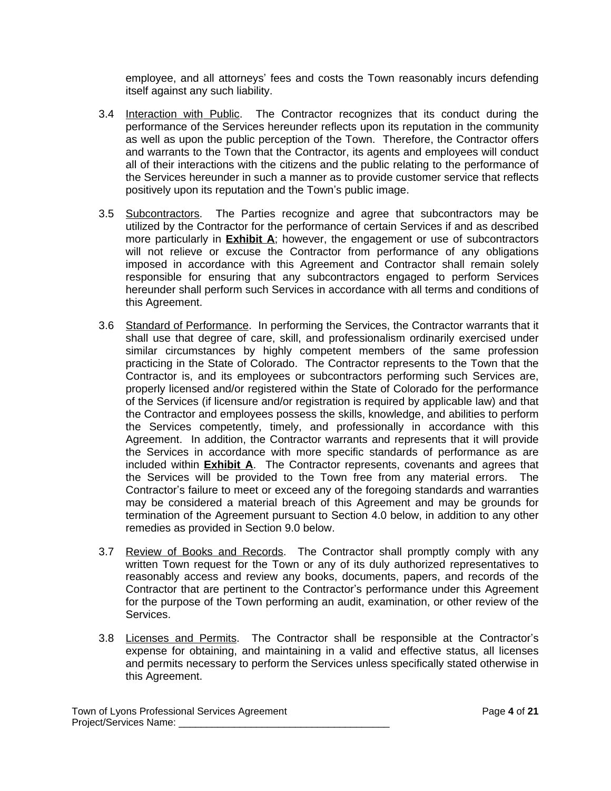employee, and all attorneys' fees and costs the Town reasonably incurs defending itself against any such liability.

- 3.4 Interaction with Public. The Contractor recognizes that its conduct during the performance of the Services hereunder reflects upon its reputation in the community as well as upon the public perception of the Town. Therefore, the Contractor offers and warrants to the Town that the Contractor, its agents and employees will conduct all of their interactions with the citizens and the public relating to the performance of the Services hereunder in such a manner as to provide customer service that reflects positively upon its reputation and the Town's public image.
- 3.5 Subcontractors. The Parties recognize and agree that subcontractors may be utilized by the Contractor for the performance of certain Services if and as described more particularly in **Exhibit A**; however, the engagement or use of subcontractors will not relieve or excuse the Contractor from performance of any obligations imposed in accordance with this Agreement and Contractor shall remain solely responsible for ensuring that any subcontractors engaged to perform Services hereunder shall perform such Services in accordance with all terms and conditions of this Agreement.
- 3.6 Standard of Performance. In performing the Services, the Contractor warrants that it shall use that degree of care, skill, and professionalism ordinarily exercised under similar circumstances by highly competent members of the same profession practicing in the State of Colorado. The Contractor represents to the Town that the Contractor is, and its employees or subcontractors performing such Services are, properly licensed and/or registered within the State of Colorado for the performance of the Services (if licensure and/or registration is required by applicable law) and that the Contractor and employees possess the skills, knowledge, and abilities to perform the Services competently, timely, and professionally in accordance with this Agreement. In addition, the Contractor warrants and represents that it will provide the Services in accordance with more specific standards of performance as are included within **Exhibit A**. The Contractor represents, covenants and agrees that the Services will be provided to the Town free from any material errors. The Contractor's failure to meet or exceed any of the foregoing standards and warranties may be considered a material breach of this Agreement and may be grounds for termination of the Agreement pursuant to Section 4.0 below, in addition to any other remedies as provided in Section 9.0 below.
- 3.7 Review of Books and Records. The Contractor shall promptly comply with any written Town request for the Town or any of its duly authorized representatives to reasonably access and review any books, documents, papers, and records of the Contractor that are pertinent to the Contractor's performance under this Agreement for the purpose of the Town performing an audit, examination, or other review of the Services.
- 3.8 Licenses and Permits. The Contractor shall be responsible at the Contractor's expense for obtaining, and maintaining in a valid and effective status, all licenses and permits necessary to perform the Services unless specifically stated otherwise in this Agreement.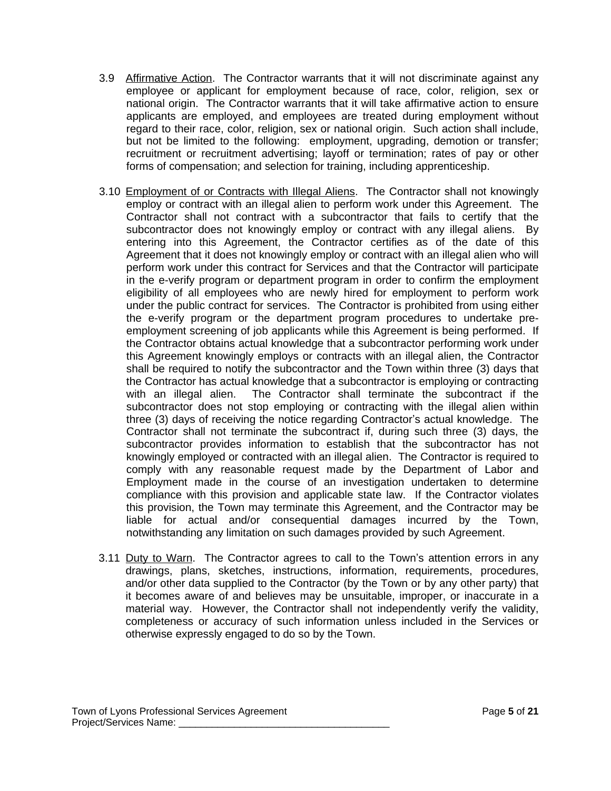- 3.9 Affirmative Action. The Contractor warrants that it will not discriminate against any employee or applicant for employment because of race, color, religion, sex or national origin. The Contractor warrants that it will take affirmative action to ensure applicants are employed, and employees are treated during employment without regard to their race, color, religion, sex or national origin. Such action shall include, but not be limited to the following: employment, upgrading, demotion or transfer; recruitment or recruitment advertising; layoff or termination; rates of pay or other forms of compensation; and selection for training, including apprenticeship.
- 3.10 Employment of or Contracts with Illegal Aliens. The Contractor shall not knowingly employ or contract with an illegal alien to perform work under this Agreement. The Contractor shall not contract with a subcontractor that fails to certify that the subcontractor does not knowingly employ or contract with any illegal aliens. By entering into this Agreement, the Contractor certifies as of the date of this Agreement that it does not knowingly employ or contract with an illegal alien who will perform work under this contract for Services and that the Contractor will participate in the e-verify program or department program in order to confirm the employment eligibility of all employees who are newly hired for employment to perform work under the public contract for services. The Contractor is prohibited from using either the e-verify program or the department program procedures to undertake preemployment screening of job applicants while this Agreement is being performed. If the Contractor obtains actual knowledge that a subcontractor performing work under this Agreement knowingly employs or contracts with an illegal alien, the Contractor shall be required to notify the subcontractor and the Town within three (3) days that the Contractor has actual knowledge that a subcontractor is employing or contracting with an illegal alien. The Contractor shall terminate the subcontract if the subcontractor does not stop employing or contracting with the illegal alien within three (3) days of receiving the notice regarding Contractor's actual knowledge. The Contractor shall not terminate the subcontract if, during such three (3) days, the subcontractor provides information to establish that the subcontractor has not knowingly employed or contracted with an illegal alien. The Contractor is required to comply with any reasonable request made by the Department of Labor and Employment made in the course of an investigation undertaken to determine compliance with this provision and applicable state law. If the Contractor violates this provision, the Town may terminate this Agreement, and the Contractor may be liable for actual and/or consequential damages incurred by the Town, notwithstanding any limitation on such damages provided by such Agreement.
- 3.11 Duty to Warn. The Contractor agrees to call to the Town's attention errors in any drawings, plans, sketches, instructions, information, requirements, procedures, and/or other data supplied to the Contractor (by the Town or by any other party) that it becomes aware of and believes may be unsuitable, improper, or inaccurate in a material way. However, the Contractor shall not independently verify the validity, completeness or accuracy of such information unless included in the Services or otherwise expressly engaged to do so by the Town.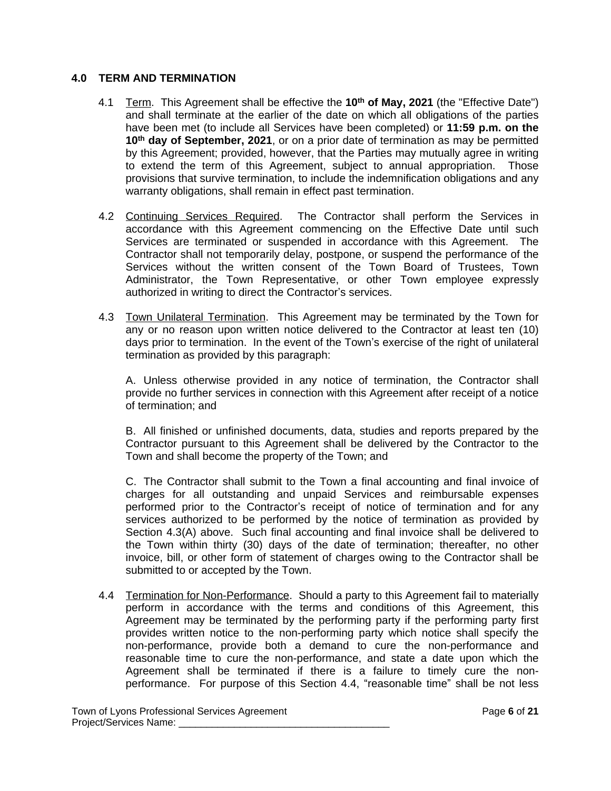### **4.0 TERM AND TERMINATION**

- 4.1 Term. This Agreement shall be effective the **10th of May, 2021** (the "Effective Date") and shall terminate at the earlier of the date on which all obligations of the parties have been met (to include all Services have been completed) or **11:59 p.m. on the 10th day of September, 2021**, or on a prior date of termination as may be permitted by this Agreement; provided, however, that the Parties may mutually agree in writing to extend the term of this Agreement, subject to annual appropriation. Those provisions that survive termination, to include the indemnification obligations and any warranty obligations, shall remain in effect past termination.
- 4.2 Continuing Services Required. The Contractor shall perform the Services in accordance with this Agreement commencing on the Effective Date until such Services are terminated or suspended in accordance with this Agreement. The Contractor shall not temporarily delay, postpone, or suspend the performance of the Services without the written consent of the Town Board of Trustees, Town Administrator, the Town Representative, or other Town employee expressly authorized in writing to direct the Contractor's services.
- 4.3 Town Unilateral Termination. This Agreement may be terminated by the Town for any or no reason upon written notice delivered to the Contractor at least ten (10) days prior to termination. In the event of the Town's exercise of the right of unilateral termination as provided by this paragraph:

A. Unless otherwise provided in any notice of termination, the Contractor shall provide no further services in connection with this Agreement after receipt of a notice of termination; and

B. All finished or unfinished documents, data, studies and reports prepared by the Contractor pursuant to this Agreement shall be delivered by the Contractor to the Town and shall become the property of the Town; and

C. The Contractor shall submit to the Town a final accounting and final invoice of charges for all outstanding and unpaid Services and reimbursable expenses performed prior to the Contractor's receipt of notice of termination and for any services authorized to be performed by the notice of termination as provided by Section 4.3(A) above. Such final accounting and final invoice shall be delivered to the Town within thirty (30) days of the date of termination; thereafter, no other invoice, bill, or other form of statement of charges owing to the Contractor shall be submitted to or accepted by the Town.

4.4 Termination for Non-Performance. Should a party to this Agreement fail to materially perform in accordance with the terms and conditions of this Agreement, this Agreement may be terminated by the performing party if the performing party first provides written notice to the non-performing party which notice shall specify the non-performance, provide both a demand to cure the non-performance and reasonable time to cure the non-performance, and state a date upon which the Agreement shall be terminated if there is a failure to timely cure the nonperformance. For purpose of this Section 4.4, "reasonable time" shall be not less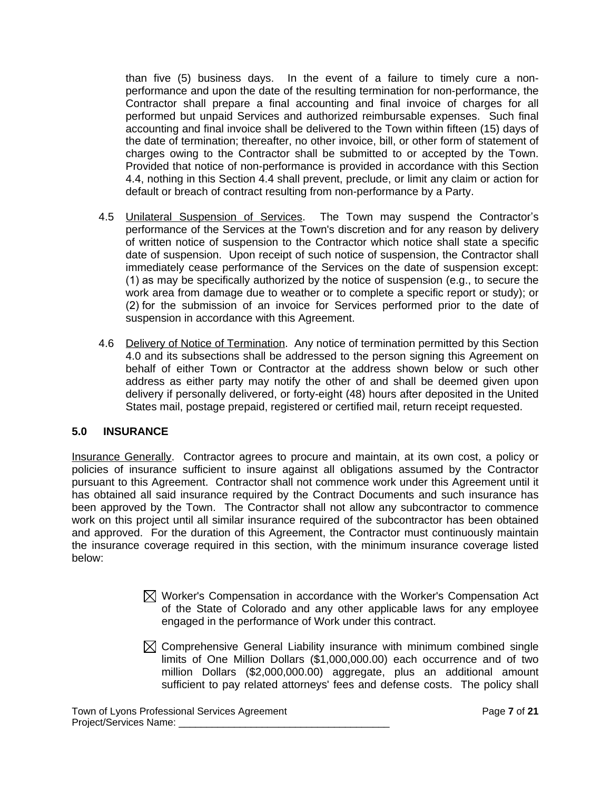than five (5) business days. In the event of a failure to timely cure a nonperformance and upon the date of the resulting termination for non-performance, the Contractor shall prepare a final accounting and final invoice of charges for all performed but unpaid Services and authorized reimbursable expenses. Such final accounting and final invoice shall be delivered to the Town within fifteen (15) days of the date of termination; thereafter, no other invoice, bill, or other form of statement of charges owing to the Contractor shall be submitted to or accepted by the Town. Provided that notice of non-performance is provided in accordance with this Section 4.4, nothing in this Section 4.4 shall prevent, preclude, or limit any claim or action for default or breach of contract resulting from non-performance by a Party.

- 4.5 Unilateral Suspension of Services. The Town may suspend the Contractor's performance of the Services at the Town's discretion and for any reason by delivery of written notice of suspension to the Contractor which notice shall state a specific date of suspension. Upon receipt of such notice of suspension, the Contractor shall immediately cease performance of the Services on the date of suspension except: (1) as may be specifically authorized by the notice of suspension (e.g., to secure the work area from damage due to weather or to complete a specific report or study); or (2) for the submission of an invoice for Services performed prior to the date of suspension in accordance with this Agreement.
- 4.6 Delivery of Notice of Termination. Any notice of termination permitted by this Section 4.0 and its subsections shall be addressed to the person signing this Agreement on behalf of either Town or Contractor at the address shown below or such other address as either party may notify the other of and shall be deemed given upon delivery if personally delivered, or forty-eight (48) hours after deposited in the United States mail, postage prepaid, registered or certified mail, return receipt requested.

## **5.0 INSURANCE**

Insurance Generally. Contractor agrees to procure and maintain, at its own cost, a policy or policies of insurance sufficient to insure against all obligations assumed by the Contractor pursuant to this Agreement. Contractor shall not commence work under this Agreement until it has obtained all said insurance required by the Contract Documents and such insurance has been approved by the Town. The Contractor shall not allow any subcontractor to commence work on this project until all similar insurance required of the subcontractor has been obtained and approved. For the duration of this Agreement, the Contractor must continuously maintain the insurance coverage required in this section, with the minimum insurance coverage listed below:

- $\boxtimes$  Worker's Compensation in accordance with the Worker's Compensation Act of the State of Colorado and any other applicable laws for any employee engaged in the performance of Work under this contract.
- $\boxtimes$  Comprehensive General Liability insurance with minimum combined single limits of One Million Dollars (\$1,000,000.00) each occurrence and of two million Dollars (\$2,000,000.00) aggregate, plus an additional amount sufficient to pay related attorneys' fees and defense costs. The policy shall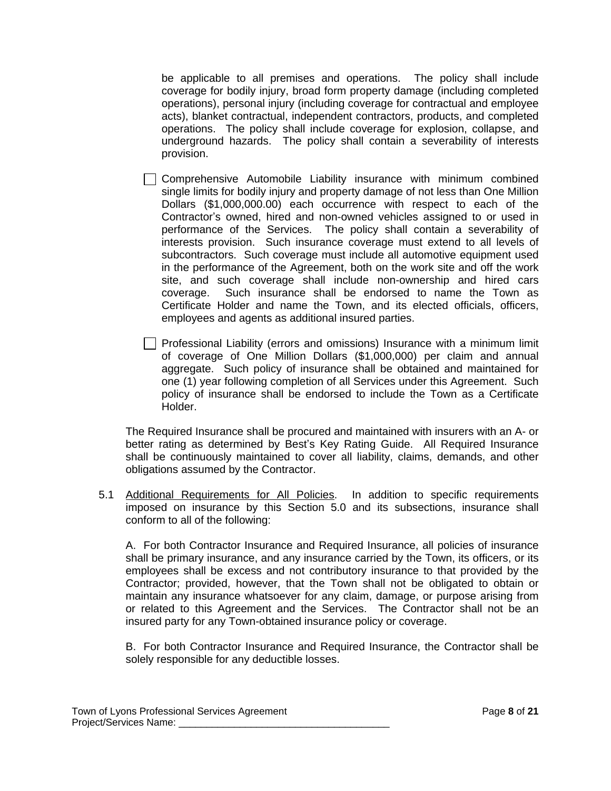be applicable to all premises and operations. The policy shall include coverage for bodily injury, broad form property damage (including completed operations), personal injury (including coverage for contractual and employee acts), blanket contractual, independent contractors, products, and completed operations. The policy shall include coverage for explosion, collapse, and underground hazards. The policy shall contain a severability of interests provision.

- Comprehensive Automobile Liability insurance with minimum combined single limits for bodily injury and property damage of not less than One Million Dollars (\$1,000,000.00) each occurrence with respect to each of the Contractor's owned, hired and non-owned vehicles assigned to or used in performance of the Services. The policy shall contain a severability of interests provision. Such insurance coverage must extend to all levels of subcontractors. Such coverage must include all automotive equipment used in the performance of the Agreement, both on the work site and off the work site, and such coverage shall include non-ownership and hired cars coverage. Such insurance shall be endorsed to name the Town as Certificate Holder and name the Town, and its elected officials, officers, employees and agents as additional insured parties.
- $\Box$  Professional Liability (errors and omissions) Insurance with a minimum limit of coverage of One Million Dollars (\$1,000,000) per claim and annual aggregate. Such policy of insurance shall be obtained and maintained for one (1) year following completion of all Services under this Agreement. Such policy of insurance shall be endorsed to include the Town as a Certificate Holder.

The Required Insurance shall be procured and maintained with insurers with an A- or better rating as determined by Best's Key Rating Guide. All Required Insurance shall be continuously maintained to cover all liability, claims, demands, and other obligations assumed by the Contractor.

5.1 Additional Requirements for All Policies. In addition to specific requirements imposed on insurance by this Section 5.0 and its subsections, insurance shall conform to all of the following:

A. For both Contractor Insurance and Required Insurance, all policies of insurance shall be primary insurance, and any insurance carried by the Town, its officers, or its employees shall be excess and not contributory insurance to that provided by the Contractor; provided, however, that the Town shall not be obligated to obtain or maintain any insurance whatsoever for any claim, damage, or purpose arising from or related to this Agreement and the Services. The Contractor shall not be an insured party for any Town-obtained insurance policy or coverage.

B. For both Contractor Insurance and Required Insurance, the Contractor shall be solely responsible for any deductible losses.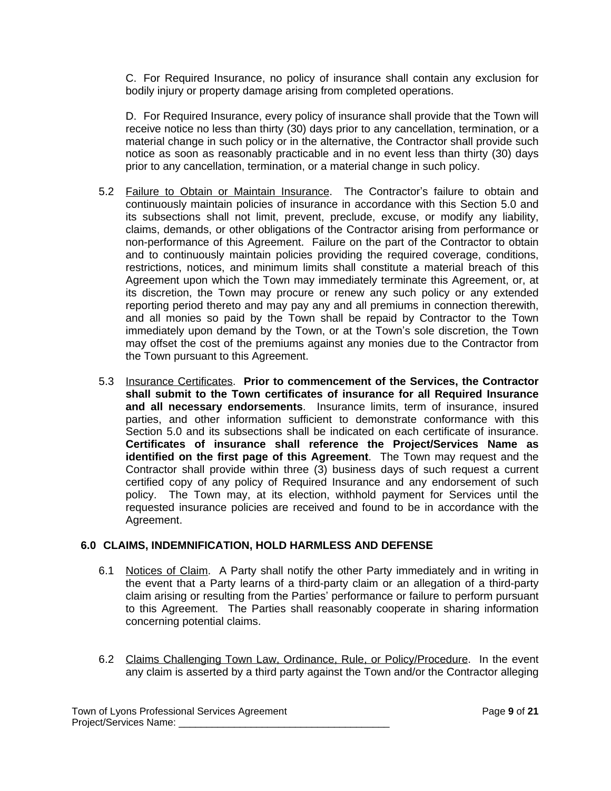C. For Required Insurance, no policy of insurance shall contain any exclusion for bodily injury or property damage arising from completed operations.

D. For Required Insurance, every policy of insurance shall provide that the Town will receive notice no less than thirty (30) days prior to any cancellation, termination, or a material change in such policy or in the alternative, the Contractor shall provide such notice as soon as reasonably practicable and in no event less than thirty (30) days prior to any cancellation, termination, or a material change in such policy.

- 5.2 Failure to Obtain or Maintain Insurance. The Contractor's failure to obtain and continuously maintain policies of insurance in accordance with this Section 5.0 and its subsections shall not limit, prevent, preclude, excuse, or modify any liability, claims, demands, or other obligations of the Contractor arising from performance or non-performance of this Agreement. Failure on the part of the Contractor to obtain and to continuously maintain policies providing the required coverage, conditions, restrictions, notices, and minimum limits shall constitute a material breach of this Agreement upon which the Town may immediately terminate this Agreement, or, at its discretion, the Town may procure or renew any such policy or any extended reporting period thereto and may pay any and all premiums in connection therewith, and all monies so paid by the Town shall be repaid by Contractor to the Town immediately upon demand by the Town, or at the Town's sole discretion, the Town may offset the cost of the premiums against any monies due to the Contractor from the Town pursuant to this Agreement.
- 5.3 Insurance Certificates. **Prior to commencement of the Services, the Contractor shall submit to the Town certificates of insurance for all Required Insurance and all necessary endorsements**. Insurance limits, term of insurance, insured parties, and other information sufficient to demonstrate conformance with this Section 5.0 and its subsections shall be indicated on each certificate of insurance. **Certificates of insurance shall reference the Project/Services Name as identified on the first page of this Agreement**. The Town may request and the Contractor shall provide within three (3) business days of such request a current certified copy of any policy of Required Insurance and any endorsement of such policy. The Town may, at its election, withhold payment for Services until the requested insurance policies are received and found to be in accordance with the Agreement.

# **6.0 CLAIMS, INDEMNIFICATION, HOLD HARMLESS AND DEFENSE**

- 6.1 Notices of Claim. A Party shall notify the other Party immediately and in writing in the event that a Party learns of a third-party claim or an allegation of a third-party claim arising or resulting from the Parties' performance or failure to perform pursuant to this Agreement. The Parties shall reasonably cooperate in sharing information concerning potential claims.
- 6.2 Claims Challenging Town Law, Ordinance, Rule, or Policy/Procedure. In the event any claim is asserted by a third party against the Town and/or the Contractor alleging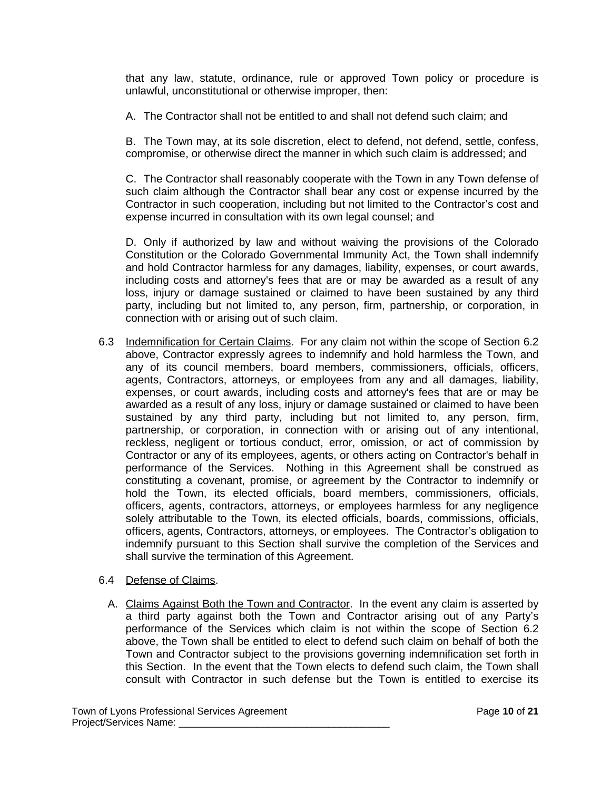that any law, statute, ordinance, rule or approved Town policy or procedure is unlawful, unconstitutional or otherwise improper, then:

A. The Contractor shall not be entitled to and shall not defend such claim; and

B. The Town may, at its sole discretion, elect to defend, not defend, settle, confess, compromise, or otherwise direct the manner in which such claim is addressed; and

C. The Contractor shall reasonably cooperate with the Town in any Town defense of such claim although the Contractor shall bear any cost or expense incurred by the Contractor in such cooperation, including but not limited to the Contractor's cost and expense incurred in consultation with its own legal counsel; and

D. Only if authorized by law and without waiving the provisions of the Colorado Constitution or the Colorado Governmental Immunity Act, the Town shall indemnify and hold Contractor harmless for any damages, liability, expenses, or court awards, including costs and attorney's fees that are or may be awarded as a result of any loss, injury or damage sustained or claimed to have been sustained by any third party, including but not limited to, any person, firm, partnership, or corporation, in connection with or arising out of such claim.

- 6.3 Indemnification for Certain Claims. For any claim not within the scope of Section 6.2 above, Contractor expressly agrees to indemnify and hold harmless the Town, and any of its council members, board members, commissioners, officials, officers, agents, Contractors, attorneys, or employees from any and all damages, liability, expenses, or court awards, including costs and attorney's fees that are or may be awarded as a result of any loss, injury or damage sustained or claimed to have been sustained by any third party, including but not limited to, any person, firm, partnership, or corporation, in connection with or arising out of any intentional, reckless, negligent or tortious conduct, error, omission, or act of commission by Contractor or any of its employees, agents, or others acting on Contractor's behalf in performance of the Services. Nothing in this Agreement shall be construed as constituting a covenant, promise, or agreement by the Contractor to indemnify or hold the Town, its elected officials, board members, commissioners, officials, officers, agents, contractors, attorneys, or employees harmless for any negligence solely attributable to the Town, its elected officials, boards, commissions, officials, officers, agents, Contractors, attorneys, or employees. The Contractor's obligation to indemnify pursuant to this Section shall survive the completion of the Services and shall survive the termination of this Agreement.
- 6.4 Defense of Claims.
	- A. Claims Against Both the Town and Contractor. In the event any claim is asserted by a third party against both the Town and Contractor arising out of any Party's performance of the Services which claim is not within the scope of Section 6.2 above, the Town shall be entitled to elect to defend such claim on behalf of both the Town and Contractor subject to the provisions governing indemnification set forth in this Section. In the event that the Town elects to defend such claim, the Town shall consult with Contractor in such defense but the Town is entitled to exercise its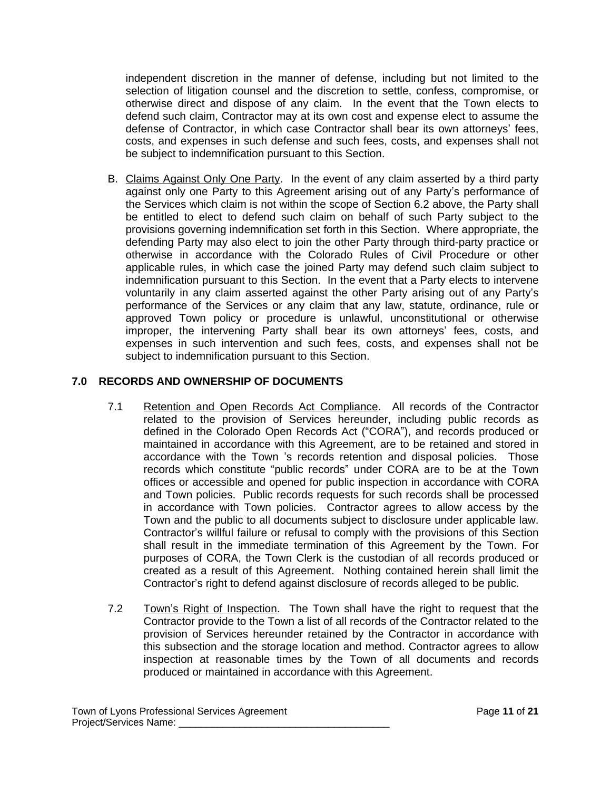independent discretion in the manner of defense, including but not limited to the selection of litigation counsel and the discretion to settle, confess, compromise, or otherwise direct and dispose of any claim. In the event that the Town elects to defend such claim, Contractor may at its own cost and expense elect to assume the defense of Contractor, in which case Contractor shall bear its own attorneys' fees, costs, and expenses in such defense and such fees, costs, and expenses shall not be subject to indemnification pursuant to this Section.

B. Claims Against Only One Party. In the event of any claim asserted by a third party against only one Party to this Agreement arising out of any Party's performance of the Services which claim is not within the scope of Section 6.2 above, the Party shall be entitled to elect to defend such claim on behalf of such Party subject to the provisions governing indemnification set forth in this Section. Where appropriate, the defending Party may also elect to join the other Party through third-party practice or otherwise in accordance with the Colorado Rules of Civil Procedure or other applicable rules, in which case the joined Party may defend such claim subject to indemnification pursuant to this Section. In the event that a Party elects to intervene voluntarily in any claim asserted against the other Party arising out of any Party's performance of the Services or any claim that any law, statute, ordinance, rule or approved Town policy or procedure is unlawful, unconstitutional or otherwise improper, the intervening Party shall bear its own attorneys' fees, costs, and expenses in such intervention and such fees, costs, and expenses shall not be subject to indemnification pursuant to this Section.

# **7.0 RECORDS AND OWNERSHIP OF DOCUMENTS**

- 7.1 Retention and Open Records Act Compliance. All records of the Contractor related to the provision of Services hereunder, including public records as defined in the Colorado Open Records Act ("CORA"), and records produced or maintained in accordance with this Agreement, are to be retained and stored in accordance with the Town 's records retention and disposal policies. Those records which constitute "public records" under CORA are to be at the Town offices or accessible and opened for public inspection in accordance with CORA and Town policies. Public records requests for such records shall be processed in accordance with Town policies. Contractor agrees to allow access by the Town and the public to all documents subject to disclosure under applicable law. Contractor's willful failure or refusal to comply with the provisions of this Section shall result in the immediate termination of this Agreement by the Town. For purposes of CORA, the Town Clerk is the custodian of all records produced or created as a result of this Agreement. Nothing contained herein shall limit the Contractor's right to defend against disclosure of records alleged to be public.
- 7.2 Town's Right of Inspection. The Town shall have the right to request that the Contractor provide to the Town a list of all records of the Contractor related to the provision of Services hereunder retained by the Contractor in accordance with this subsection and the storage location and method. Contractor agrees to allow inspection at reasonable times by the Town of all documents and records produced or maintained in accordance with this Agreement.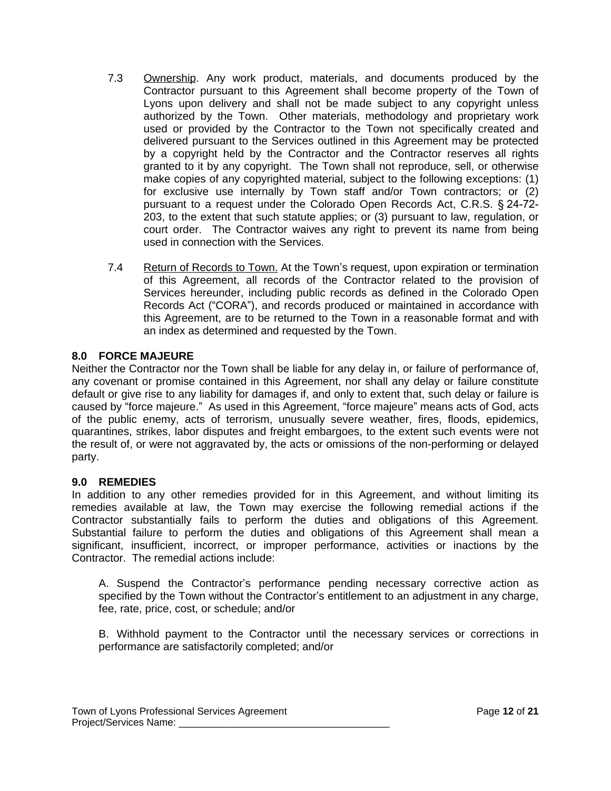- 7.3 Ownership. Any work product, materials, and documents produced by the Contractor pursuant to this Agreement shall become property of the Town of Lyons upon delivery and shall not be made subject to any copyright unless authorized by the Town. Other materials, methodology and proprietary work used or provided by the Contractor to the Town not specifically created and delivered pursuant to the Services outlined in this Agreement may be protected by a copyright held by the Contractor and the Contractor reserves all rights granted to it by any copyright. The Town shall not reproduce, sell, or otherwise make copies of any copyrighted material, subject to the following exceptions: (1) for exclusive use internally by Town staff and/or Town contractors; or (2) pursuant to a request under the Colorado Open Records Act, C.R.S. § 24-72- 203, to the extent that such statute applies; or (3) pursuant to law, regulation, or court order. The Contractor waives any right to prevent its name from being used in connection with the Services.
- 7.4 Return of Records to Town. At the Town's request, upon expiration or termination of this Agreement, all records of the Contractor related to the provision of Services hereunder, including public records as defined in the Colorado Open Records Act ("CORA"), and records produced or maintained in accordance with this Agreement, are to be returned to the Town in a reasonable format and with an index as determined and requested by the Town.

## **8.0 FORCE MAJEURE**

Neither the Contractor nor the Town shall be liable for any delay in, or failure of performance of, any covenant or promise contained in this Agreement, nor shall any delay or failure constitute default or give rise to any liability for damages if, and only to extent that, such delay or failure is caused by "force majeure." As used in this Agreement, "force majeure" means acts of God, acts of the public enemy, acts of terrorism, unusually severe weather, fires, floods, epidemics, quarantines, strikes, labor disputes and freight embargoes, to the extent such events were not the result of, or were not aggravated by, the acts or omissions of the non-performing or delayed party.

## **9.0 REMEDIES**

In addition to any other remedies provided for in this Agreement, and without limiting its remedies available at law, the Town may exercise the following remedial actions if the Contractor substantially fails to perform the duties and obligations of this Agreement. Substantial failure to perform the duties and obligations of this Agreement shall mean a significant, insufficient, incorrect, or improper performance, activities or inactions by the Contractor. The remedial actions include:

A. Suspend the Contractor's performance pending necessary corrective action as specified by the Town without the Contractor's entitlement to an adjustment in any charge, fee, rate, price, cost, or schedule; and/or

B. Withhold payment to the Contractor until the necessary services or corrections in performance are satisfactorily completed; and/or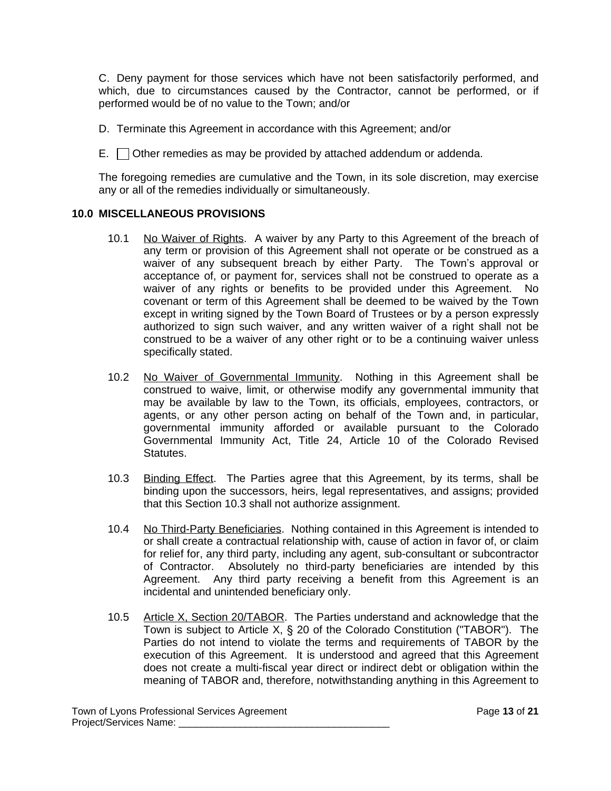C. Deny payment for those services which have not been satisfactorily performed, and which, due to circumstances caused by the Contractor, cannot be performed, or if performed would be of no value to the Town; and/or

D. Terminate this Agreement in accordance with this Agreement; and/or

E.  $\Box$  Other remedies as may be provided by attached addendum or addenda.

The foregoing remedies are cumulative and the Town, in its sole discretion, may exercise any or all of the remedies individually or simultaneously.

#### **10.0 MISCELLANEOUS PROVISIONS**

- 10.1 No Waiver of Rights. A waiver by any Party to this Agreement of the breach of any term or provision of this Agreement shall not operate or be construed as a waiver of any subsequent breach by either Party. The Town's approval or acceptance of, or payment for, services shall not be construed to operate as a waiver of any rights or benefits to be provided under this Agreement. No covenant or term of this Agreement shall be deemed to be waived by the Town except in writing signed by the Town Board of Trustees or by a person expressly authorized to sign such waiver, and any written waiver of a right shall not be construed to be a waiver of any other right or to be a continuing waiver unless specifically stated.
- 10.2 No Waiver of Governmental Immunity. Nothing in this Agreement shall be construed to waive, limit, or otherwise modify any governmental immunity that may be available by law to the Town, its officials, employees, contractors, or agents, or any other person acting on behalf of the Town and, in particular, governmental immunity afforded or available pursuant to the Colorado Governmental Immunity Act, Title 24, Article 10 of the Colorado Revised Statutes.
- 10.3 Binding Effect. The Parties agree that this Agreement, by its terms, shall be binding upon the successors, heirs, legal representatives, and assigns; provided that this Section 10.3 shall not authorize assignment.
- 10.4 No Third-Party Beneficiaries. Nothing contained in this Agreement is intended to or shall create a contractual relationship with, cause of action in favor of, or claim for relief for, any third party, including any agent, sub-consultant or subcontractor of Contractor. Absolutely no third-party beneficiaries are intended by this Agreement. Any third party receiving a benefit from this Agreement is an incidental and unintended beneficiary only.
- 10.5 Article X, Section 20/TABOR. The Parties understand and acknowledge that the Town is subject to Article X, § 20 of the Colorado Constitution ("TABOR"). The Parties do not intend to violate the terms and requirements of TABOR by the execution of this Agreement. It is understood and agreed that this Agreement does not create a multi-fiscal year direct or indirect debt or obligation within the meaning of TABOR and, therefore, notwithstanding anything in this Agreement to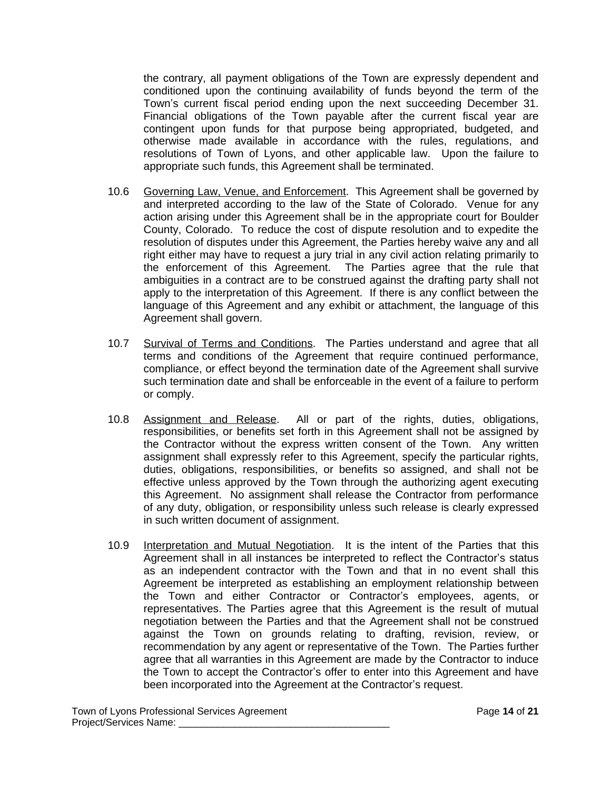the contrary, all payment obligations of the Town are expressly dependent and conditioned upon the continuing availability of funds beyond the term of the Town's current fiscal period ending upon the next succeeding December 31. Financial obligations of the Town payable after the current fiscal year are contingent upon funds for that purpose being appropriated, budgeted, and otherwise made available in accordance with the rules, regulations, and resolutions of Town of Lyons, and other applicable law. Upon the failure to appropriate such funds, this Agreement shall be terminated.

- 10.6 Governing Law, Venue, and Enforcement. This Agreement shall be governed by and interpreted according to the law of the State of Colorado. Venue for any action arising under this Agreement shall be in the appropriate court for Boulder County, Colorado. To reduce the cost of dispute resolution and to expedite the resolution of disputes under this Agreement, the Parties hereby waive any and all right either may have to request a jury trial in any civil action relating primarily to the enforcement of this Agreement. The Parties agree that the rule that ambiguities in a contract are to be construed against the drafting party shall not apply to the interpretation of this Agreement. If there is any conflict between the language of this Agreement and any exhibit or attachment, the language of this Agreement shall govern.
- 10.7 Survival of Terms and Conditions. The Parties understand and agree that all terms and conditions of the Agreement that require continued performance, compliance, or effect beyond the termination date of the Agreement shall survive such termination date and shall be enforceable in the event of a failure to perform or comply.
- 10.8 Assignment and Release. All or part of the rights, duties, obligations, responsibilities, or benefits set forth in this Agreement shall not be assigned by the Contractor without the express written consent of the Town. Any written assignment shall expressly refer to this Agreement, specify the particular rights, duties, obligations, responsibilities, or benefits so assigned, and shall not be effective unless approved by the Town through the authorizing agent executing this Agreement. No assignment shall release the Contractor from performance of any duty, obligation, or responsibility unless such release is clearly expressed in such written document of assignment.
- 10.9 Interpretation and Mutual Negotiation. It is the intent of the Parties that this Agreement shall in all instances be interpreted to reflect the Contractor's status as an independent contractor with the Town and that in no event shall this Agreement be interpreted as establishing an employment relationship between the Town and either Contractor or Contractor's employees, agents, or representatives. The Parties agree that this Agreement is the result of mutual negotiation between the Parties and that the Agreement shall not be construed against the Town on grounds relating to drafting, revision, review, or recommendation by any agent or representative of the Town. The Parties further agree that all warranties in this Agreement are made by the Contractor to induce the Town to accept the Contractor's offer to enter into this Agreement and have been incorporated into the Agreement at the Contractor's request.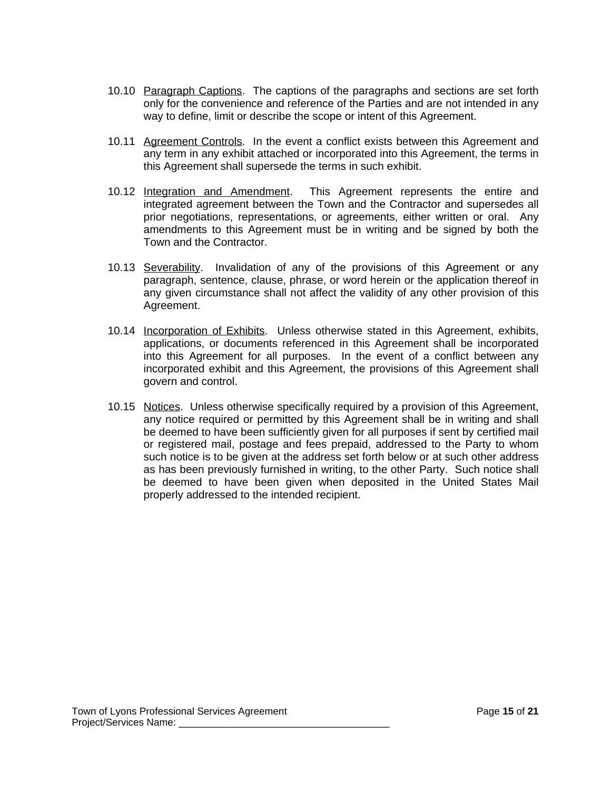- 10.10 Paragraph Captions. The captions of the paragraphs and sections are set forth only for the convenience and reference of the Parties and are not intended in any way to define, limit or describe the scope or intent of this Agreement.
- 10.11 Agreement Controls. In the event a conflict exists between this Agreement and any term in any exhibit attached or incorporated into this Agreement, the terms in this Agreement shall supersede the terms in such exhibit.
- 10.12 Integration and Amendment. This Agreement represents the entire and integrated agreement between the Town and the Contractor and supersedes all prior negotiations, representations, or agreements, either written or oral. Any amendments to this Agreement must be in writing and be signed by both the Town and the Contractor.
- 10.13 Severability. Invalidation of any of the provisions of this Agreement or any paragraph, sentence, clause, phrase, or word herein or the application thereof in any given circumstance shall not affect the validity of any other provision of this Agreement.
- 10.14 Incorporation of Exhibits. Unless otherwise stated in this Agreement, exhibits, applications, or documents referenced in this Agreement shall be incorporated into this Agreement for all purposes. In the event of a conflict between any incorporated exhibit and this Agreement, the provisions of this Agreement shall govern and control.
- 10.15 Notices. Unless otherwise specifically required by a provision of this Agreement, any notice required or permitted by this Agreement shall be in writing and shall be deemed to have been sufficiently given for all purposes if sent by certified mail or registered mail, postage and fees prepaid, addressed to the Party to whom such notice is to be given at the address set forth below or at such other address as has been previously furnished in writing, to the other Party. Such notice shall be deemed to have been given when deposited in the United States Mail properly addressed to the intended recipient.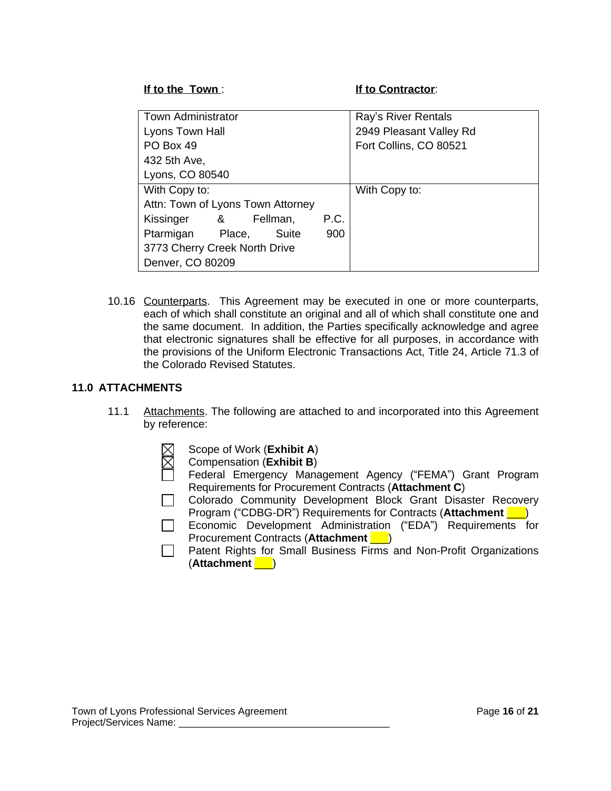**If to the Town** : **If to Contractor**:

| Town Administrator                |  |          |      | Ray's River Rentals     |
|-----------------------------------|--|----------|------|-------------------------|
| Lyons Town Hall                   |  |          |      | 2949 Pleasant Valley Rd |
| PO Box 49                         |  |          |      | Fort Collins, CO 80521  |
| 432 5th Ave,                      |  |          |      |                         |
| Lyons, CO 80540                   |  |          |      |                         |
| With Copy to:                     |  |          |      | With Copy to:           |
| Attn: Town of Lyons Town Attorney |  |          |      |                         |
| Kissinger &                       |  | Fellman, | P.C. |                         |
| Ptarmigan Place,                  |  | Suite    | 900  |                         |
| 3773 Cherry Creek North Drive     |  |          |      |                         |
| Denver, CO 80209                  |  |          |      |                         |

10.16 Counterparts. This Agreement may be executed in one or more counterparts, each of which shall constitute an original and all of which shall constitute one and the same document. In addition, the Parties specifically acknowledge and agree that electronic signatures shall be effective for all purposes, in accordance with the provisions of the Uniform Electronic Transactions Act, Title 24, Article 71.3 of the Colorado Revised Statutes.

#### **11.0 ATTACHMENTS**

- 11.1 Attachments. The following are attached to and incorporated into this Agreement by reference:
	- Scope of Work (**Exhibit A**)
	- Compensation (**Exhibit B**)
	- Federal Emergency Management Agency ("FEMA") Grant Program Requirements for Procurement Contracts (**Attachment C**)
	- Colorado Community Development Block Grant Disaster Recovery Program ("CDBG-DR") Requirements for Contracts (**Attachment** \_\_\_)
	- Economic Development Administration ("EDA") Requirements for Procurement Contracts (**Attachment** \_\_\_)
	- $\Box$  Patent Rights for Small Business Firms and Non-Profit Organizations (**Attachment** \_\_\_)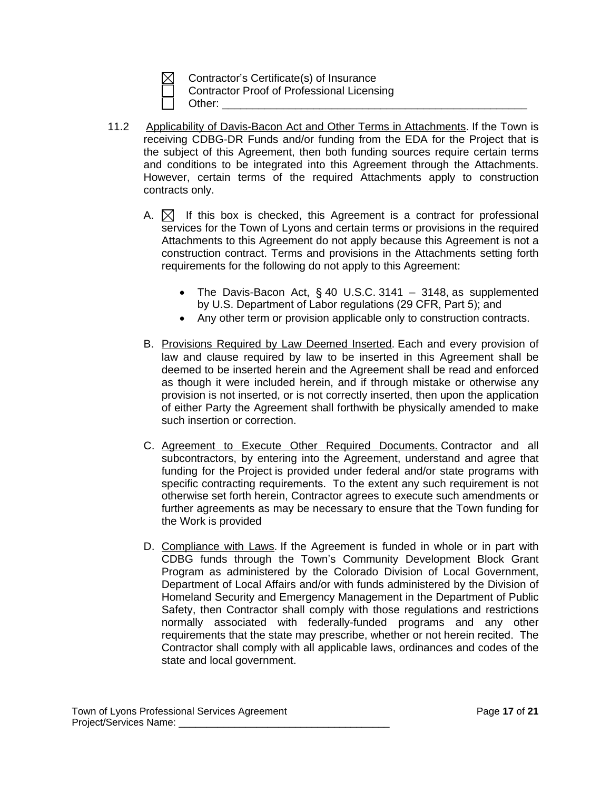Contractor's Certificate(s) of Insurance Contractor Proof of Professional Licensing Other: \_\_\_\_\_\_\_\_\_\_\_\_\_\_\_\_\_\_\_\_\_\_\_\_\_\_\_\_\_\_\_\_\_\_\_\_\_\_\_\_\_\_\_\_\_\_\_\_\_\_

- 11.2 Applicability of Davis-Bacon Act and Other Terms in Attachments. If the Town is receiving CDBG-DR Funds and/or funding from the EDA for the Project that is the subject of this Agreement, then both funding sources require certain terms and conditions to be integrated into this Agreement through the Attachments. However, certain terms of the required Attachments apply to construction contracts only.
	- A.  $\boxtimes$  If this box is checked, this Agreement is a contract for professional services for the Town of Lyons and certain terms or provisions in the required Attachments to this Agreement do not apply because this Agreement is not a construction contract. Terms and provisions in the Attachments setting forth requirements for the following do not apply to this Agreement:
		- The Davis-Bacon Act,  $\S$  40 U.S.C. 3141 3148, as supplemented by U.S. Department of Labor regulations (29 CFR, Part 5); and
		- Any other term or provision applicable only to construction contracts.
	- B. Provisions Required by Law Deemed Inserted. Each and every provision of law and clause required by law to be inserted in this Agreement shall be deemed to be inserted herein and the Agreement shall be read and enforced as though it were included herein, and if through mistake or otherwise any provision is not inserted, or is not correctly inserted, then upon the application of either Party the Agreement shall forthwith be physically amended to make such insertion or correction.
	- C. Agreement to Execute Other Required Documents. Contractor and all subcontractors, by entering into the Agreement, understand and agree that funding for the Project is provided under federal and/or state programs with specific contracting requirements. To the extent any such requirement is not otherwise set forth herein, Contractor agrees to execute such amendments or further agreements as may be necessary to ensure that the Town funding for the Work is provided
	- D. Compliance with Laws. If the Agreement is funded in whole or in part with CDBG funds through the Town's Community Development Block Grant Program as administered by the Colorado Division of Local Government, Department of Local Affairs and/or with funds administered by the Division of Homeland Security and Emergency Management in the Department of Public Safety, then Contractor shall comply with those regulations and restrictions normally associated with federally-funded programs and any other requirements that the state may prescribe, whether or not herein recited. The Contractor shall comply with all applicable laws, ordinances and codes of the state and local government.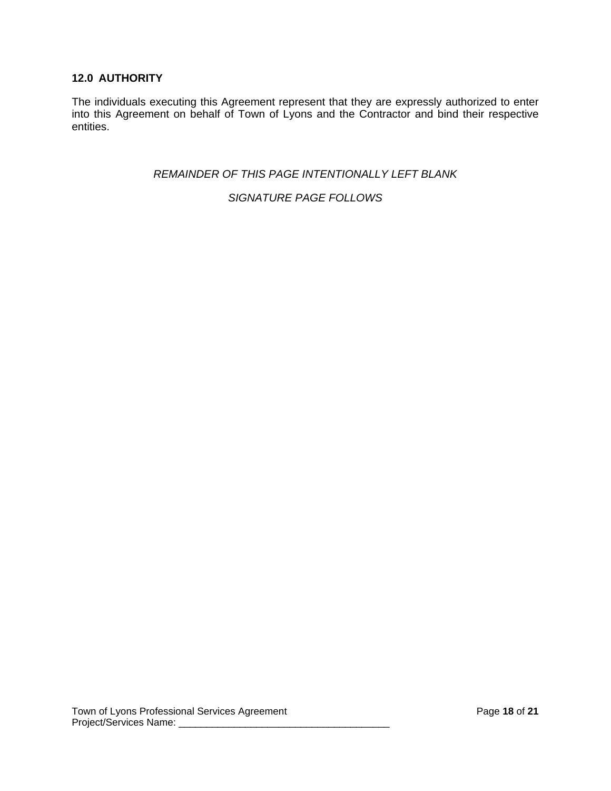## **12.0 AUTHORITY**

The individuals executing this Agreement represent that they are expressly authorized to enter into this Agreement on behalf of Town of Lyons and the Contractor and bind their respective entities.

*REMAINDER OF THIS PAGE INTENTIONALLY LEFT BLANK*

*SIGNATURE PAGE FOLLOWS*